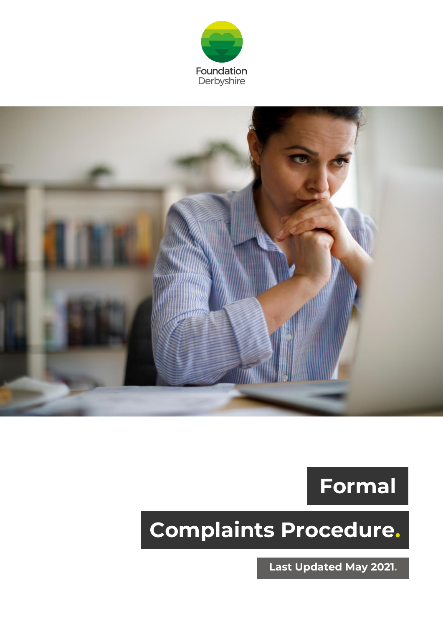





## **Complaints Procedure.**

**Last Updated May 2021.**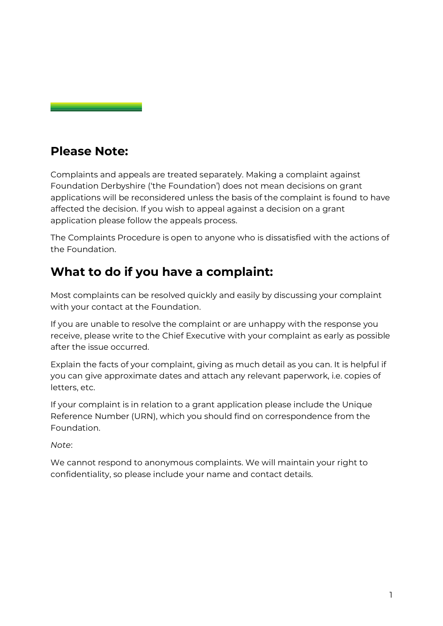## **Please Note:**

Complaints and appeals are treated separately. Making a complaint against Foundation Derbyshire ('the Foundation') does not mean decisions on grant applications will be reconsidered unless the basis of the complaint is found to have affected the decision. If you wish to appeal against a decision on a grant application please follow the appeals process.

The Complaints Procedure is open to anyone who is dissatisfied with the actions of the Foundation.

## **What to do if you have a complaint:**

Most complaints can be resolved quickly and easily by discussing your complaint with your contact at the Foundation.

If you are unable to resolve the complaint or are unhappy with the response you receive, please write to the Chief Executive with your complaint as early as possible after the issue occurred.

Explain the facts of your complaint, giving as much detail as you can. It is helpful if you can give approximate dates and attach any relevant paperwork, i.e. copies of letters, etc.

If your complaint is in relation to a grant application please include the Unique Reference Number (URN), which you should find on correspondence from the Foundation.

*Note*:

We cannot respond to anonymous complaints. We will maintain your right to confidentiality, so please include your name and contact details.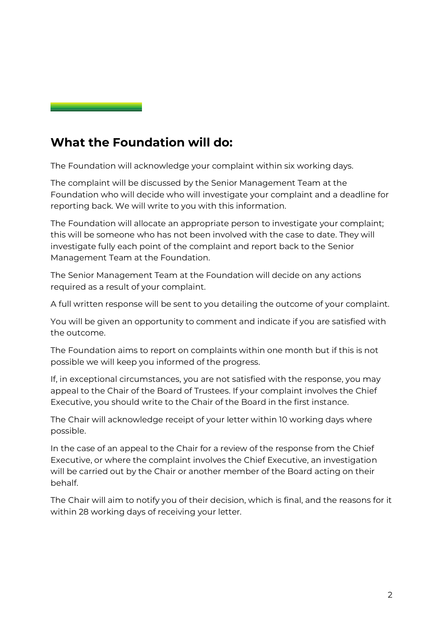## **What the Foundation will do:**

The Foundation will acknowledge your complaint within six working days.

The complaint will be discussed by the Senior Management Team at the Foundation who will decide who will investigate your complaint and a deadline for reporting back. We will write to you with this information.

The Foundation will allocate an appropriate person to investigate your complaint; this will be someone who has not been involved with the case to date. They will investigate fully each point of the complaint and report back to the Senior Management Team at the Foundation.

The Senior Management Team at the Foundation will decide on any actions required as a result of your complaint.

A full written response will be sent to you detailing the outcome of your complaint.

You will be given an opportunity to comment and indicate if you are satisfied with the outcome.

The Foundation aims to report on complaints within one month but if this is not possible we will keep you informed of the progress.

If, in exceptional circumstances, you are not satisfied with the response, you may appeal to the Chair of the Board of Trustees. If your complaint involves the Chief Executive, you should write to the Chair of the Board in the first instance.

The Chair will acknowledge receipt of your letter within 10 working days where possible.

In the case of an appeal to the Chair for a review of the response from the Chief Executive, or where the complaint involves the Chief Executive, an investigation will be carried out by the Chair or another member of the Board acting on their behalf.

The Chair will aim to notify you of their decision, which is final, and the reasons for it within 28 working days of receiving your letter.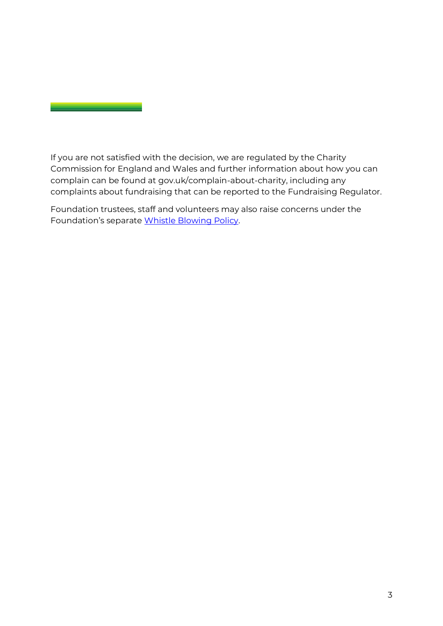If you are not satisfied with the decision, we are regulated by the Charity Commission for England and Wales and further information about how you can complain can be found at [gov.uk/complain-about-charity,](http://www.gov.uk/complain-about-charity) including any complaints about fundraising that can be reported to the Fundraising Regulator.

Foundation trustees, staff and volunteers may also raise concerns under the Foundation's separate [Whistle Blowing Policy.](https://foundationdstg.wpengine.com/wp-content/uploads/2022/02/Whistleblowing-Policy-DF170222v3.pdf)